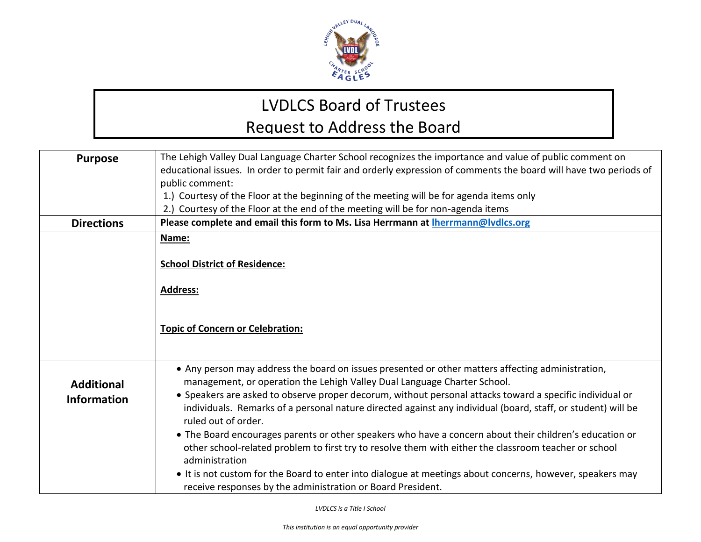

## LVDLCS Board of Trustees Request to Address the Board

| <b>Purpose</b>                          | The Lehigh Valley Dual Language Charter School recognizes the importance and value of public comment on<br>educational issues. In order to permit fair and orderly expression of comments the board will have two periods of                                                                                                                                                                                                                                                                                                                                                                                                                                                                                                                                                                                                                       |
|-----------------------------------------|----------------------------------------------------------------------------------------------------------------------------------------------------------------------------------------------------------------------------------------------------------------------------------------------------------------------------------------------------------------------------------------------------------------------------------------------------------------------------------------------------------------------------------------------------------------------------------------------------------------------------------------------------------------------------------------------------------------------------------------------------------------------------------------------------------------------------------------------------|
|                                         | public comment:<br>1.) Courtesy of the Floor at the beginning of the meeting will be for agenda items only<br>2.) Courtesy of the Floor at the end of the meeting will be for non-agenda items                                                                                                                                                                                                                                                                                                                                                                                                                                                                                                                                                                                                                                                     |
| <b>Directions</b>                       | Please complete and email this form to Ms. Lisa Herrmann at Iherrmann@IvdIcs.org                                                                                                                                                                                                                                                                                                                                                                                                                                                                                                                                                                                                                                                                                                                                                                   |
|                                         | Name:<br><b>School District of Residence:</b><br>Address:<br><b>Topic of Concern or Celebration:</b>                                                                                                                                                                                                                                                                                                                                                                                                                                                                                                                                                                                                                                                                                                                                               |
| <b>Additional</b><br><b>Information</b> | • Any person may address the board on issues presented or other matters affecting administration,<br>management, or operation the Lehigh Valley Dual Language Charter School.<br>• Speakers are asked to observe proper decorum, without personal attacks toward a specific individual or<br>individuals. Remarks of a personal nature directed against any individual (board, staff, or student) will be<br>ruled out of order.<br>• The Board encourages parents or other speakers who have a concern about their children's education or<br>other school-related problem to first try to resolve them with either the classroom teacher or school<br>administration<br>• It is not custom for the Board to enter into dialogue at meetings about concerns, however, speakers may<br>receive responses by the administration or Board President. |

*LVDLCS is a Title I School*